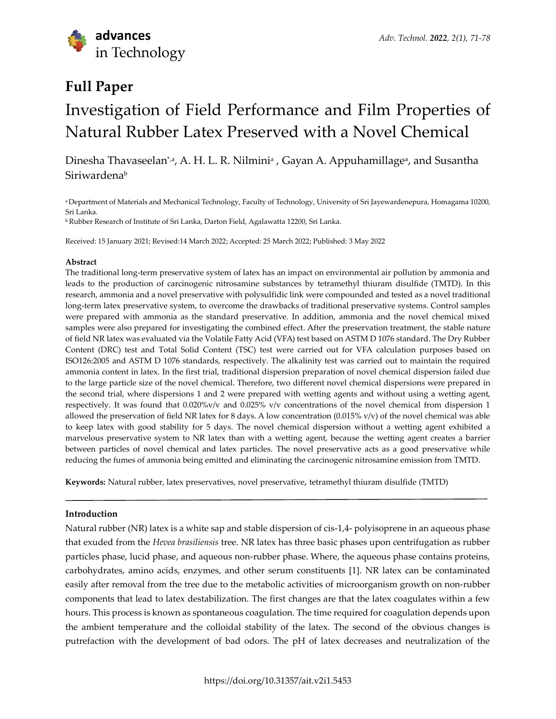

## **Full Paper**

# Investigation of Field Performance and Film Properties of Natural Rubber Latex Preserved with a Novel Chemical

Dinesha Thavaseelan\*ª, A. H. L. R. Nilminiª , Gayan A. Appuhamillageª, and Susantha **Siriwardenab** 

<sup>a</sup>Department of Materials and Mechanical Technology, Faculty of Technology, University of Sri Jayewardenepura, Homagama 10200, Sri Lanka.

<sup>b</sup>Rubber Research of Institute of Sri Lanka, Darton Field, Agalawatta 12200, Sri Lanka.

Received: 15 January 2021; Revised:14 March 2022; Accepted: 25 March 2022; Published: 3 May 2022

### **Abstract**

The traditional long-term preservative system of latex has an impact on environmental air pollution by ammonia and leads to the production of carcinogenic nitrosamine substances by tetramethyl thiuram disulfide (TMTD). In this research, ammonia and a novel preservative with polysulfidic link were compounded and tested as a novel traditional long-term latex preservative system, to overcome the drawbacks of traditional preservative systems. Control samples were prepared with ammonia as the standard preservative. In addition, ammonia and the novel chemical mixed samples were also prepared for investigating the combined effect. After the preservation treatment, the stable nature of field NR latex was evaluated via the Volatile Fatty Acid (VFA) test based on ASTM D 1076 standard. The Dry Rubber Content (DRC) test and Total Solid Content (TSC) test were carried out for VFA calculation purposes based on ISO126:2005 and ASTM D 1076 standards, respectively. The alkalinity test was carried out to maintain the required ammonia content in latex. In the first trial, traditional dispersion preparation of novel chemical dispersion failed due to the large particle size of the novel chemical. Therefore, two different novel chemical dispersions were prepared in the second trial, where dispersions 1 and 2 were prepared with wetting agents and without using a wetting agent, respectively. It was found that 0.020%v/v and 0.025% v/v concentrations of the novel chemical from dispersion 1 allowed the preservation of field NR latex for 8 days. A low concentration  $(0.015\% \text{ v/v})$  of the novel chemical was able to keep latex with good stability for 5 days. The novel chemical dispersion without a wetting agent exhibited a marvelous preservative system to NR latex than with a wetting agent, because the wetting agent creates a barrier between particles of novel chemical and latex particles. The novel preservative acts as a good preservative while reducing the fumes of ammonia being emitted and eliminating the carcinogenic nitrosamine emission from TMTD.

**Keywords:** Natural rubber, latex preservatives, novel preservative, tetramethyl thiuram disulfide (TMTD)

## **Introduction**

Natural rubber (NR) latex is a white sap and stable dispersion of cis-1,4- polyisoprene in an aqueous phase that exuded from the *Hevea brasiliensis* tree. NR latex has three basic phases upon centrifugation as rubber particles phase, lucid phase, and aqueous non-rubber phase. Where, the aqueous phase contains proteins, carbohydrates, amino acids, enzymes, and other serum constituents [1]. NR latex can be contaminated easily after removal from the tree due to the metabolic activities of microorganism growth on non-rubber components that lead to latex destabilization. The first changes are that the latex coagulates within a few hours. This process is known as spontaneous coagulation. The time required for coagulation depends upon the ambient temperature and the colloidal stability of the latex. The second of the obvious changes is putrefaction with the development of bad odors. The pH of latex decreases and neutralization of the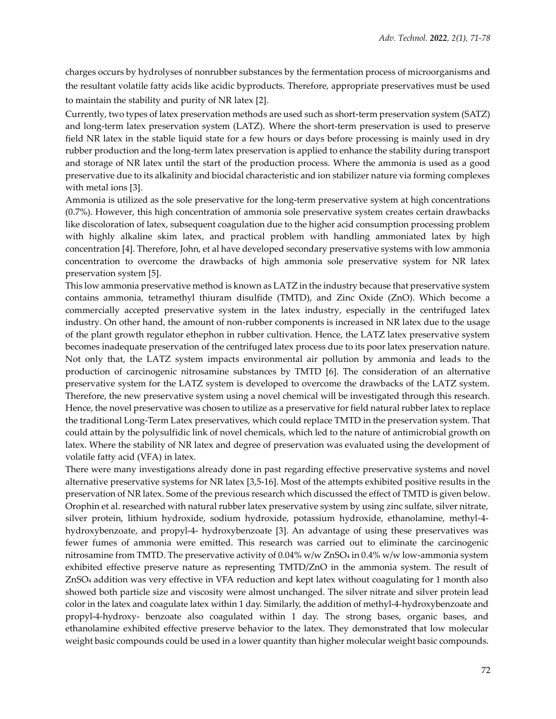charges occurs by hydrolyses of nonrubber substances by the fermentation process of microorganisms and the resultant volatile fatty acids like acidic byproducts. Therefore, appropriate preservatives must be used to maintain the stability and purity of NR latex [2].

Currently, two types of latex preservation methods are used such as short-term preservation system (SATZ) and long-term latex preservation system (LATZ). Where the short-term preservation is used to preserve field NR latex in the stable liquid state for a few hours or days before processing is mainly used in dry rubber production and the long-term latex preservation is applied to enhance the stability during transport and storage of NR latex until the start of the production process. Where the ammonia is used as a good preservative due to its alkalinity and biocidal characteristic and ion stabilizer nature via forming complexes with metal ions [3].

Ammonia is utilized as the sole preservative for the long-term preservative system at high concentrations (0.7%). However, this high concentration of ammonia sole preservative system creates certain drawbacks like discoloration of latex, subsequent coagulation due to the higher acid consumption processing problem with highly alkaline skim latex, and practical problem with handling ammoniated latex by high concentration [4]. Therefore, John, et al have developed secondary preservative systems with low ammonia concentration to overcome the drawbacks of high ammonia sole preservative system for NR latex preservation system [5].

This low ammonia preservative method is known as LATZ in the industry because that preservative system contains ammonia, tetramethyl thiuram disulfide (TMTD), and Zinc Oxide (ZnO). Which become a commercially accepted preservative system in the latex industry, especially in the centrifuged latex industry. On other hand, the amount of non-rubber components is increased in NR latex due to the usage of the plant growth regulator ethephon in rubber cultivation. Hence, the LATZ latex preservative system becomes inadequate preservation of the centrifuged latex process due to its poor latex preservation nature. Not only that, the LATZ system impacts environmental air pollution by ammonia and leads to the production of carcinogenic nitrosamine substances by TMTD [6]. The consideration of an alternative preservative system for the LATZ system is developed to overcome the drawbacks of the LATZ system. Therefore, the new preservative system using a novel chemical will be investigated through this research. Hence, the novel preservative was chosen to utilize as a preservative for field natural rubber latex to replace the traditional Long-Term Latex preservatives, which could replace TMTD in the preservation system. That could attain by the polysulfidic link of novel chemicals, which led to the nature of antimicrobial growth on latex. Where the stability of NR latex and degree of preservation was evaluated using the development of volatile fatty acid (VFA) in latex.

There were many investigations already done in past regarding effective preservative systems and novel alternative preservative systems for NR latex [3,5-16]. Most of the attempts exhibited positive results in the preservation of NR latex. Some of the previous research which discussed the effect of TMTD is given below. Orophin et al. researched with natural rubber latex preservative system by using zinc sulfate, silver nitrate, silver protein, lithium hydroxide, sodium hydroxide, potassium hydroxide, ethanolamine, methyl-4 hydroxybenzoate, and propyl-4- hydroxybenzoate [3]. An advantage of using these preservatives was fewer fumes of ammonia were emitted. This research was carried out to eliminate the carcinogenic nitrosamine from TMTD. The preservative activity of 0.04% w/w ZnSO<sup>4</sup> in 0.4% w/w low-ammonia system exhibited effective preserve nature as representing TMTD/ZnO in the ammonia system. The result of ZnSO<sup>4</sup> addition was very effective in VFA reduction and kept latex without coagulating for 1 month also showed both particle size and viscosity were almost unchanged. The silver nitrate and silver protein lead color in the latex and coagulate latex within 1 day. Similarly, the addition of methyl-4-hydroxybenzoate and propyl-4-hydroxy- benzoate also coagulated within 1 day. The strong bases, organic bases, and ethanolamine exhibited effective preserve behavior to the latex. They demonstrated that low molecular weight basic compounds could be used in a lower quantity than higher molecular weight basic compounds.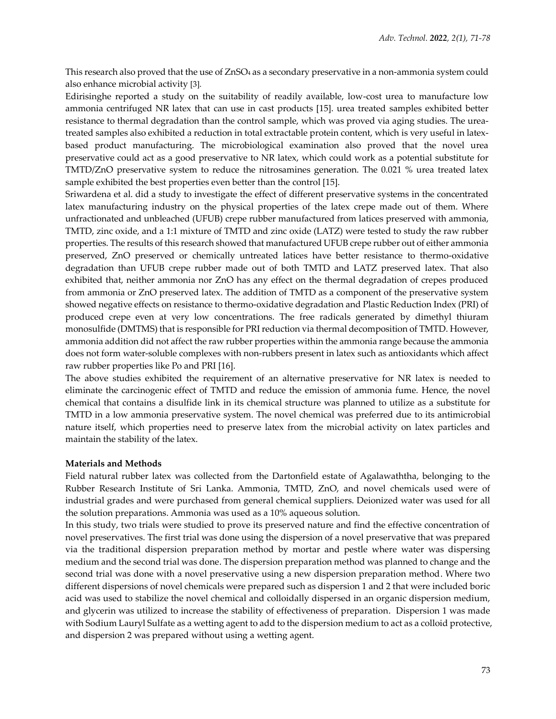This research also proved that the use of ZnSO<sup>4</sup> as a secondary preservative in a non-ammonia system could also enhance microbial activity [3].

Edirisinghe reported a study on the suitability of readily available, low-cost urea to manufacture low ammonia centrifuged NR latex that can use in cast products [15]. urea treated samples exhibited better resistance to thermal degradation than the control sample, which was proved via aging studies. The ureatreated samples also exhibited a reduction in total extractable protein content, which is very useful in latexbased product manufacturing. The microbiological examination also proved that the novel urea preservative could act as a good preservative to NR latex, which could work as a potential substitute for TMTD/ZnO preservative system to reduce the nitrosamines generation. The 0.021 % urea treated latex sample exhibited the best properties even better than the control [15].

Sriwardena et al. did a study to investigate the effect of different preservative systems in the concentrated latex manufacturing industry on the physical properties of the latex crepe made out of them. Where unfractionated and unbleached (UFUB) crepe rubber manufactured from latices preserved with ammonia, TMTD, zinc oxide, and a 1:1 mixture of TMTD and zinc oxide (LATZ) were tested to study the raw rubber properties. The results of this research showed that manufactured UFUB crepe rubber out of either ammonia preserved, ZnO preserved or chemically untreated latices have better resistance to thermo-oxidative degradation than UFUB crepe rubber made out of both TMTD and LATZ preserved latex. That also exhibited that, neither ammonia nor ZnO has any effect on the thermal degradation of crepes produced from ammonia or ZnO preserved latex. The addition of TMTD as a component of the preservative system showed negative effects on resistance to thermo-oxidative degradation and Plastic Reduction Index (PRI) of produced crepe even at very low concentrations. The free radicals generated by dimethyl thiuram monosulfide (DMTMS) that is responsible for PRI reduction via thermal decomposition of TMTD. However, ammonia addition did not affect the raw rubber properties within the ammonia range because the ammonia does not form water-soluble complexes with non-rubbers present in latex such as antioxidants which affect raw rubber properties like Po and PRI [16].

The above studies exhibited the requirement of an alternative preservative for NR latex is needed to eliminate the carcinogenic effect of TMTD and reduce the emission of ammonia fume. Hence, the novel chemical that contains a disulfide link in its chemical structure was planned to utilize as a substitute for TMTD in a low ammonia preservative system. The novel chemical was preferred due to its antimicrobial nature itself, which properties need to preserve latex from the microbial activity on latex particles and maintain the stability of the latex.

### **Materials and Methods**

Field natural rubber latex was collected from the Dartonfield estate of Agalawaththa, belonging to the Rubber Research Institute of Sri Lanka. Ammonia, TMTD, ZnO, and novel chemicals used were of industrial grades and were purchased from general chemical suppliers. Deionized water was used for all the solution preparations. Ammonia was used as a 10% aqueous solution.

In this study, two trials were studied to prove its preserved nature and find the effective concentration of novel preservatives. The first trial was done using the dispersion of a novel preservative that was prepared via the traditional dispersion preparation method by mortar and pestle where water was dispersing medium and the second trial was done. The dispersion preparation method was planned to change and the second trial was done with a novel preservative using a new dispersion preparation method. Where two different dispersions of novel chemicals were prepared such as dispersion 1 and 2 that were included boric acid was used to stabilize the novel chemical and colloidally dispersed in an organic dispersion medium, and glycerin was utilized to increase the stability of effectiveness of preparation. Dispersion 1 was made with Sodium Lauryl Sulfate as a wetting agent to add to the dispersion medium to act as a colloid protective, and dispersion 2 was prepared without using a wetting agent.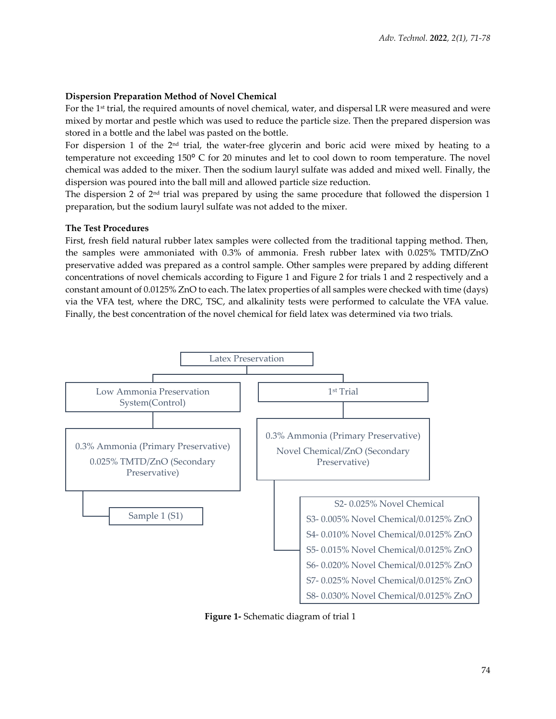## **Dispersion Preparation Method of Novel Chemical**

For the 1st trial, the required amounts of novel chemical, water, and dispersal LR were measured and were mixed by mortar and pestle which was used to reduce the particle size. Then the prepared dispersion was stored in a bottle and the label was pasted on the bottle.

For dispersion 1 of the 2 $^{\rm nd}$  trial, the water-free glycerin and boric acid were mixed by heating to a temperature not exceeding 150° C for 20 minutes and let to cool down to room temperature. The novel chemical was added to the mixer. Then the sodium lauryl sulfate was added and mixed well. Finally, the dispersion was poured into the ball mill and allowed particle size reduction.

The dispersion 2 of  $2<sup>nd</sup>$  trial was prepared by using the same procedure that followed the dispersion 1 preparation, but the sodium lauryl sulfate was not added to the mixer.

## **The Test Procedures**

First, fresh field natural rubber latex samples were collected from the traditional tapping method. Then, the samples were ammoniated with 0.3% of ammonia. Fresh rubber latex with 0.025% TMTD/ZnO preservative added was prepared as a control sample. Other samples were prepared by adding different concentrations of novel chemicals according to Figure 1 and Figure 2 for trials 1 and 2 respectively and a constant amount of 0.0125% ZnO to each. The latex properties of all samples were checked with time (days) via the VFA test, where the DRC, TSC, and alkalinity tests were performed to calculate the VFA value. Finally, the best concentration of the novel chemical for field latex was determined via two trials.



**Figure 1-** Schematic diagram of trial 1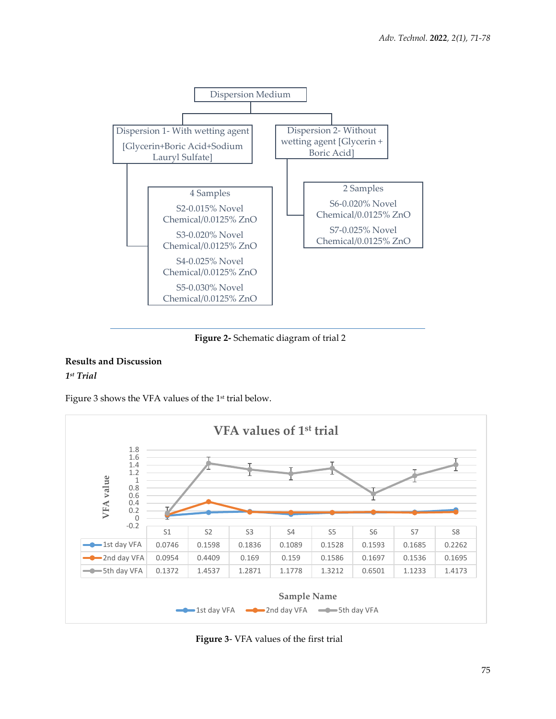

**Figure 2-** Schematic diagram of trial 2

## **Results and Discussion** *1 st Trial*

Figure 3 shows the VFA values of the 1 st trial below.



**Figure 3**- VFA values of the first trial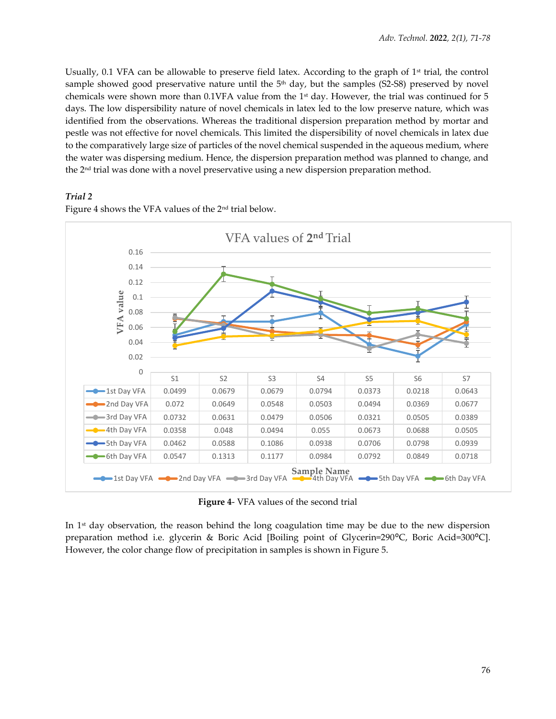Usually, 0.1 VFA can be allowable to preserve field latex. According to the graph of  $1<sup>st</sup>$  trial, the control sample showed good preservative nature until the  $5<sup>th</sup>$  day, but the samples (S2-S8) preserved by novel chemicals were shown more than  $0.1\mathrm{VFA}$  value from the 1st day. However, the trial was continued for 5 days. The low dispersibility nature of novel chemicals in latex led to the low preserve nature, which was identified from the observations. Whereas the traditional dispersion preparation method by mortar and pestle was not effective for novel chemicals. This limited the dispersibility of novel chemicals in latex due to the comparatively large size of particles of the novel chemical suspended in the aqueous medium, where the water was dispersing medium. Hence, the dispersion preparation method was planned to change, and the 2nd trial was done with a novel preservative using a new dispersion preparation method.

## *Trial 2*

Figure 4 shows the VFA values of the 2nd trial below.



**Figure 4**- VFA values of the second trial

In 1<sup>st</sup> day observation, the reason behind the long coagulation time may be due to the new dispersion preparation method i.e. glycerin & Boric Acid [Boiling point of Glycerin=290°C, Boric Acid=300°C]. However, the color change flow of precipitation in samples is shown in Figure 5.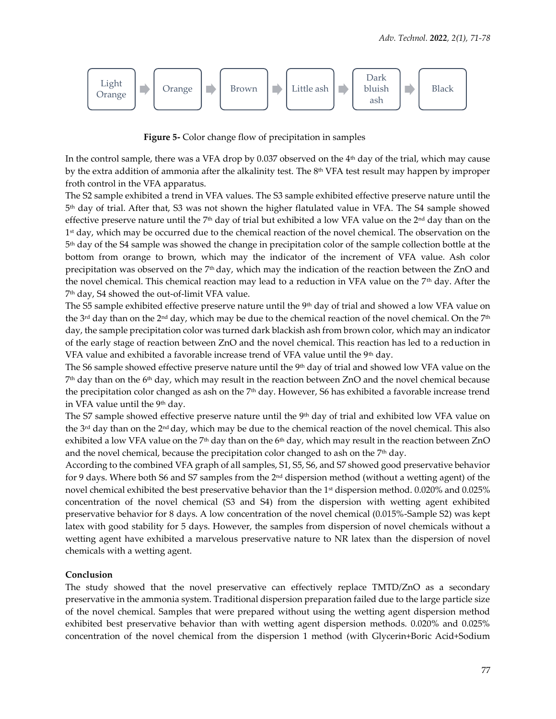

**Figure 5-** Color change flow of precipitation in samples

In the control sample, there was a VFA drop by  $0.037$  observed on the  $4<sup>th</sup>$  day of the trial, which may cause by the extra addition of ammonia after the alkalinity test. The  $8^{\text{th}}$  VFA test result may happen by improper froth control in the VFA apparatus.

The S2 sample exhibited a trend in VFA values. The S3 sample exhibited effective preserve nature until the 5 th day of trial. After that, S3 was not shown the higher flatulated value in VFA. The S4 sample showed effective preserve nature until the 7<sup>th</sup> day of trial but exhibited a low VFA value on the 2<sup>nd</sup> day than on the 1 st day, which may be occurred due to the chemical reaction of the novel chemical. The observation on the 5 th day of the S4 sample was showed the change in precipitation color of the sample collection bottle at the bottom from orange to brown, which may the indicator of the increment of VFA value. Ash color precipitation was observed on the 7<sup>th</sup> day, which may the indication of the reaction between the ZnO and the novel chemical. This chemical reaction may lead to a reduction in VFA value on the 7th day. After the 7 th day, S4 showed the out-of-limit VFA value.

The S5 sample exhibited effective preserve nature until the  $9<sup>th</sup>$  day of trial and showed a low VFA value on the 3<sup>rd</sup> day than on the 2<sup>nd</sup> day, which may be due to the chemical reaction of the novel chemical. On the 7<sup>th</sup> day, the sample precipitation color was turned dark blackish ash from brown color, which may an indicator of the early stage of reaction between ZnO and the novel chemical. This reaction has led to a reduction in VFA value and exhibited a favorable increase trend of VFA value until the 9<sup>th</sup> day.

The S6 sample showed effective preserve nature until the 9th day of trial and showed low VFA value on the  $7<sup>th</sup>$  day than on the 6 $<sup>th</sup>$  day, which may result in the reaction between ZnO and the novel chemical because</sup> the precipitation color changed as ash on the  $7<sup>th</sup>$  day. However, S6 has exhibited a favorable increase trend in VFA value until the 9<sup>th</sup> day.

The S7 sample showed effective preserve nature until the 9<sup>th</sup> day of trial and exhibited low VFA value on the 3rd day than on the 2nd day, which may be due to the chemical reaction of the novel chemical. This also exhibited a low VFA value on the 7<sup>th</sup> day than on the 6<sup>th</sup> day, which may result in the reaction between ZnO and the novel chemical, because the precipitation color changed to ash on the  $7<sup>th</sup>$  day.

According to the combined VFA graph of all samples, S1, S5, S6, and S7 showed good preservative behavior for 9 days. Where both S6 and S7 samples from the 2nd dispersion method (without a wetting agent) of the novel chemical exhibited the best preservative behavior than the 1st dispersion method. 0.020% and 0.025% concentration of the novel chemical (S3 and S4) from the dispersion with wetting agent exhibited preservative behavior for 8 days. A low concentration of the novel chemical (0.015%-Sample S2) was kept latex with good stability for 5 days. However, the samples from dispersion of novel chemicals without a wetting agent have exhibited a marvelous preservative nature to NR latex than the dispersion of novel chemicals with a wetting agent.

## **Conclusion**

The study showed that the novel preservative can effectively replace TMTD/ZnO as a secondary preservative in the ammonia system. Traditional dispersion preparation failed due to the large particle size of the novel chemical. Samples that were prepared without using the wetting agent dispersion method exhibited best preservative behavior than with wetting agent dispersion methods. 0.020% and 0.025% concentration of the novel chemical from the dispersion 1 method (with Glycerin+Boric Acid+Sodium